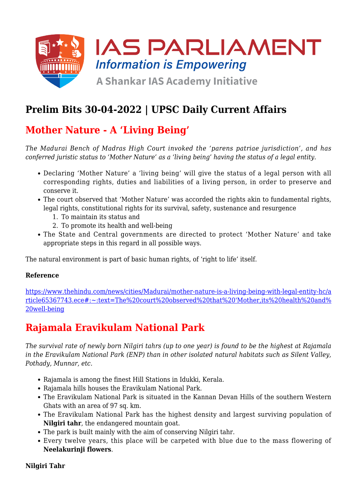

## **Prelim Bits 30-04-2022 | UPSC Daily Current Affairs**

## **Mother Nature - A 'Living Being'**

*The Madurai Bench of Madras High Court invoked the 'parens patriae jurisdiction', and has conferred juristic status to 'Mother Nature' as a 'living being' having the status of a legal entity.*

- Declaring 'Mother Nature' a 'living being' will give the status of a legal person with all corresponding rights, duties and liabilities of a living person, in order to preserve and conserve it.
- The court observed that 'Mother Nature' was accorded the rights akin to fundamental rights, legal rights, constitutional rights for its survival, safety, sustenance and resurgence
	- 1. To maintain its status and
	- 2. To promote its health and well-being
- The State and Central governments are directed to protect 'Mother Nature' and take appropriate steps in this regard in all possible ways.

The natural environment is part of basic human rights, of 'right to life' itself.

#### **Reference**

[https://www.thehindu.com/news/cities/Madurai/mother-nature-is-a-living-being-with-legal-entity-hc/a](https://www.thehindu.com/news/cities/Madurai/mother-nature-is-a-living-being-with-legal-entity-hc/article65367743.ece#:~:text=The%20court%20observed%20that%20) [rticle65367743.ece#:~:text=The%20court%20observed%20that%20'Mother,its%20health%20and%](https://www.thehindu.com/news/cities/Madurai/mother-nature-is-a-living-being-with-legal-entity-hc/article65367743.ece#:~:text=The%20court%20observed%20that%20) [20well-being](https://www.thehindu.com/news/cities/Madurai/mother-nature-is-a-living-being-with-legal-entity-hc/article65367743.ece#:~:text=The%20court%20observed%20that%20)

## **Rajamala Eravikulam National Park**

*The survival rate of newly born Nilgiri tahrs (up to one year) is found to be the highest at Rajamala in the Eravikulam National Park (ENP) than in other isolated natural habitats such as Silent Valley, Pothady, Munnar, etc.*

- Rajamala is among the finest Hill Stations in Idukki, Kerala.
- Rajamala hills houses the Eravikulam National Park.
- The Eravikulam National Park is situated in the Kannan Devan Hills of the southern Western Ghats with an area of 97 sq. km.
- The Eravikulam National Park has the highest density and largest surviving population of **Nilgiri tahr**, the endangered mountain goat.
- The park is built mainly with the aim of conserving Nilgiri tahr.
- Every twelve years, this place will be carpeted with blue due to the mass flowering of **Neelakurinji flowers**.

### **Nilgiri Tahr**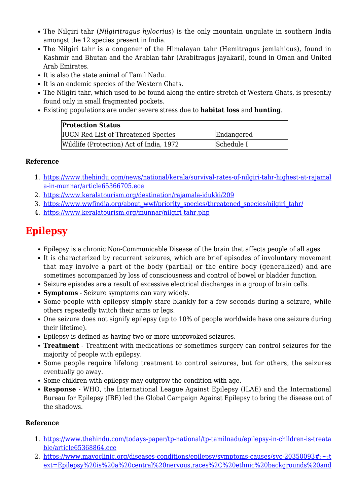- The Nilgiri tahr (*Nilgiritragus hylocrius*) is the only mountain ungulate in southern India amongst the 12 species present in India.
- The Nilgiri tahr is a congener of the Himalayan tahr (Hemitragus jemlahicus), found in Kashmir and Bhutan and the Arabian tahr (Arabitragus jayakari), found in Oman and United Arab Emirates.
- It is also the state animal of Tamil Nadu.
- It is an endemic species of the Western Ghats.
- The Nilgiri tahr, which used to be found along the entire stretch of Western Ghats, is presently found only in small fragmented pockets.
- Existing populations are under severe stress due to **habitat loss** and **hunting**.

| <b>Protection Status</b>                   |            |
|--------------------------------------------|------------|
| <b>IUCN</b> Red List of Threatened Species | Endangered |
| Wildlife (Protection) Act of India, 1972   | Schedule I |

### **Reference**

- 1. [https://www.thehindu.com/news/national/kerala/survival-rates-of-nilgiri-tahr-highest-at-rajamal](https://www.thehindu.com/news/national/kerala/survival-rates-of-nilgiri-tahr-highest-at-rajamala-in-munnar/article65366705.ece) [a-in-munnar/article65366705.ece](https://www.thehindu.com/news/national/kerala/survival-rates-of-nilgiri-tahr-highest-at-rajamala-in-munnar/article65366705.ece)
- 2. <https://www.keralatourism.org/destination/rajamala-idukki/209>
- 3. [https://www.wwfindia.org/about\\_wwf/priority\\_species/threatened\\_species/nilgiri\\_tahr/](https://www.wwfindia.org/about_wwf/priority_species/threatened_species/nilgiri_tahr/)
- 4. <https://www.keralatourism.org/munnar/nilgiri-tahr.php>

# **Epilepsy**

- Epilepsy is a chronic Non-Communicable Disease of the brain that affects people of all ages.
- It is characterized by recurrent seizures, which are brief episodes of involuntary movement that may involve a part of the body (partial) or the entire body (generalized) and are sometimes accompanied by loss of consciousness and control of bowel or bladder function.
- Seizure episodes are a result of excessive electrical discharges in a group of brain cells.
- **Symptoms** Seizure symptoms can vary widely.
- Some people with epilepsy simply stare blankly for a few seconds during a seizure, while others repeatedly twitch their arms or legs.
- One seizure does not signify epilepsy (up to 10% of people worldwide have one seizure during their lifetime).
- Epilepsy is defined as having two or more unprovoked seizures.
- **Treatment** Treatment with medications or sometimes surgery can control seizures for the majority of people with epilepsy.
- Some people require lifelong treatment to control seizures, but for others, the seizures eventually go away.
- Some children with epilepsy may outgrow the condition with age.
- **Response** WHO, the International League Against Epilepsy (ILAE) and the International Bureau for Epilepsy (IBE) led the Global Campaign Against Epilepsy to bring the disease out of the shadows.

### **Reference**

- 1. [https://www.thehindu.com/todays-paper/tp-national/tp-tamilnadu/epilepsy-in-children-is-treata](https://www.thehindu.com/todays-paper/tp-national/tp-tamilnadu/epilepsy-in-children-is-treatable/article65368864.ece) [ble/article65368864.ece](https://www.thehindu.com/todays-paper/tp-national/tp-tamilnadu/epilepsy-in-children-is-treatable/article65368864.ece)
- 2. [https://www.mayoclinic.org/diseases-conditions/epilepsy/symptoms-causes/syc-20350093#:~:t](https://www.mayoclinic.org/diseases-conditions/epilepsy/symptoms-causes/syc-20350093#:~:text=Epilepsy%20is%20a%20central%20nervous,races%2C%20ethnic%20backgrounds%20and%20ages) [ext=Epilepsy%20is%20a%20central%20nervous,races%2C%20ethnic%20backgrounds%20and](https://www.mayoclinic.org/diseases-conditions/epilepsy/symptoms-causes/syc-20350093#:~:text=Epilepsy%20is%20a%20central%20nervous,races%2C%20ethnic%20backgrounds%20and%20ages)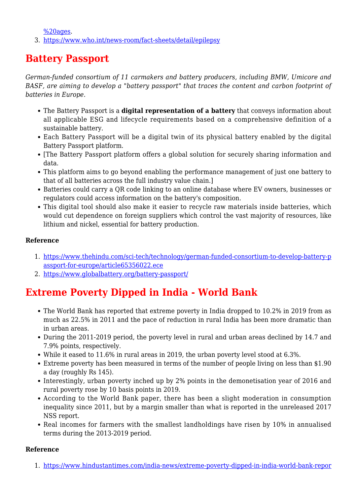$%20a$ ges.

3. <https://www.who.int/news-room/fact-sheets/detail/epilepsy>

# **Battery Passport**

*German-funded consortium of 11 carmakers and battery producers, including BMW, Umicore and BASF, are aiming to develop a "battery passport" that traces the content and carbon footprint of batteries in Europe.*

- The Battery Passport is a **digital representation of a battery** that conveys information about all applicable ESG and lifecycle requirements based on a comprehensive definition of a sustainable battery.
- Each Battery Passport will be a digital twin of its physical battery enabled by the digital Battery Passport platform.
- [The Battery Passport platform offers a global solution for securely sharing information and data.
- This platform aims to go beyond enabling the performance management of just one battery to that of all batteries across the full industry value chain.]
- Batteries could carry a QR code linking to an online database where EV owners, businesses or regulators could access information on the battery's composition.
- This digital tool should also make it easier to recycle raw materials inside batteries, which would cut dependence on foreign suppliers which control the vast majority of resources, like lithium and nickel, essential for battery production.

### **Reference**

- 1. [https://www.thehindu.com/sci-tech/technology/german-funded-consortium-to-develop-battery-p](https://www.thehindu.com/sci-tech/technology/german-funded-consortium-to-develop-battery-passport-for-europe/article65356022.ece) [assport-for-europe/article65356022.ece](https://www.thehindu.com/sci-tech/technology/german-funded-consortium-to-develop-battery-passport-for-europe/article65356022.ece)
- 2. <https://www.globalbattery.org/battery-passport/>

## **Extreme Poverty Dipped in India - World Bank**

- The World Bank has reported that extreme poverty in India dropped to 10.2% in 2019 from as much as 22.5% in 2011 and the pace of reduction in rural India has been more dramatic than in urban areas.
- During the 2011-2019 period, the poverty level in rural and urban areas declined by 14.7 and 7.9% points, respectively.
- While it eased to 11.6% in rural areas in 2019, the urban poverty level stood at 6.3%.
- Extreme poverty has been measured in terms of the number of people living on less than \$1.90 a day (roughly Rs 145).
- Interestingly, urban poverty inched up by 2% points in the demonetisation year of 2016 and rural poverty rose by 10 basis points in 2019.
- According to the World Bank paper, there has been a slight moderation in consumption inequality since 2011, but by a margin smaller than what is reported in the unreleased 2017 NSS report.
- Real incomes for farmers with the smallest landholdings have risen by 10% in annualised terms during the 2013-2019 period.

#### **Reference**

1. [https://www.hindustantimes.com/india-news/extreme-poverty-dipped-in-india-world-bank-repor](https://www.hindustantimes.com/india-news/extreme-poverty-dipped-in-india-world-bank-report-101650220568301.html#:~:text=Extreme%20poverty%20in%20India%20was,World%20Bank%20policy%20research%20said)